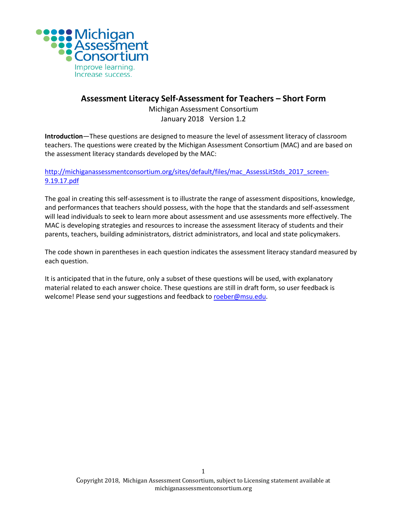

# **Assessment Literacy Self-Assessment for Teachers – Short Form**

Michigan Assessment Consortium January 2018 Version 1.2

**Introduction**—These questions are designed to measure the level of assessment literacy of classroom teachers. The questions were created by the Michigan Assessment Consortium (MAC) and are based on the assessment literacy standards developed by the MAC:

[http://michiganassessmentconsortium.org/sites/default/files/mac\\_AssessLitStds\\_2017\\_screen-](http://michiganassessmentconsortium.org/sites/default/files/mac_AssessLitStds_2017_screen-9.19.17.pdf)[9.19.17.pdf](http://michiganassessmentconsortium.org/sites/default/files/mac_AssessLitStds_2017_screen-9.19.17.pdf)

The goal in creating this self-assessment is to illustrate the range of assessment dispositions, knowledge, and performances that teachers should possess, with the hope that the standards and self-assessment will lead individuals to seek to learn more about assessment and use assessments more effectively. The MAC is developing strategies and resources to increase the assessment literacy of students and their parents, teachers, building administrators, district administrators, and local and state policymakers.

The code shown in parentheses in each question indicates the assessment literacy standard measured by each question.

It is anticipated that in the future, only a subset of these questions will be used, with explanatory material related to each answer choice. These questions are still in draft form, so user feedback is welcome! Please send your suggestions and feedback t[o roeber@msu.edu.](mailto:roeber@msu.edu)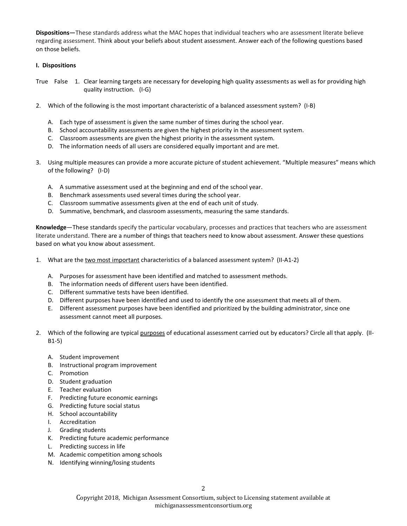**Dispositions—**These standards address what the MAC hopes that individual teachers who are assessment literate believe regarding assessment. Think about your beliefs about student assessment. Answer each of the following questions based on those beliefs.

#### **I. Dispositions**

- True False 1. Clear learning targets are necessary for developing high quality assessments as well as for providing high quality instruction. (I-G)
- 2. Which of the following is the most important characteristic of a balanced assessment system? (I-B)
	- A. Each type of assessment is given the same number of times during the school year.
	- B. School accountability assessments are given the highest priority in the assessment system.
	- C. Classroom assessments are given the highest priority in the assessment system.
	- D. The information needs of all users are considered equally important and are met.
- 3. Using multiple measures can provide a more accurate picture of student achievement. "Multiple measures" means which of the following? (I-D)
	- A. A summative assessment used at the beginning and end of the school year.
	- B. Benchmark assessments used several times during the school year.
	- C. Classroom summative assessments given at the end of each unit of study.
	- D. Summative, benchmark, and classroom assessments, measuring the same standards.

**Knowledge**—These standards specify the particular vocabulary, processes and practices that teachers who are assessment literate understand. There are a number of things that teachers need to know about assessment. Answer these questions based on what you know about assessment.

- 1. What are the two most important characteristics of a balanced assessment system? (II-A1-2)
	- A. Purposes for assessment have been identified and matched to assessment methods.
	- B. The information needs of different users have been identified.
	- C. Different summative tests have been identified.
	- D. Different purposes have been identified and used to identify the one assessment that meets all of them.
	- E. Different assessment purposes have been identified and prioritized by the building administrator, since one assessment cannot meet all purposes.
- 2. Which of the following are typical purposes of educational assessment carried out by educators? Circle all that apply. (II-B1-5)
	- A. Student improvement
	- B. Instructional program improvement
	- C. Promotion
	- D. Student graduation
	- E. Teacher evaluation
	- F. Predicting future economic earnings
	- G. Predicting future social status
	- H. School accountability
	- I. Accreditation
	- J. Grading students
	- K. Predicting future academic performance
	- L. Predicting success in life
	- M. Academic competition among schools
	- N. Identifying winning/losing students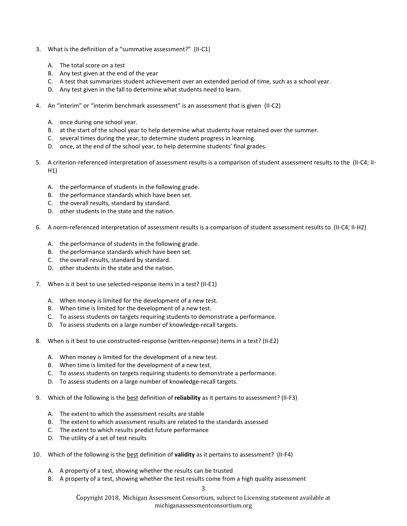- 3. What is the definition of a "summative assessment?" (II-C1)
	- A. The total score on a test
	- B. Any test given at the end of the year
	- C. A test that summarizes student achievement over an extended period of time, such as a school year.
	- D. Any test given in the fall to determine what students need to learn.
- 4. An "interim" or "interim benchmark assessment" is an assessment that is given (II-C2)
	- A. once during one school year.
	- B. at the start of the school year to help determine what students have retained over the summer.
	- C. several times during the year, to determine student progress in learning.
	- D. once, at the end of the school year, to help determine students' final grades.
- 5. A criterion-referenced interpretation of assessment results is a comparison of student assessment results to the (II-C4; II-H1)
	- A. the performance of students in the following grade.
	- B. the performance standards which have been set.
	- C. the overall results, standard by standard.
	- D. other students in the state and the nation.
- 6. A norm-referenced interpretation of assessment results is a comparison of student assessment results to (II-C4; II-H2)
	- A. the performance of students in the following grade.
	- B. the performance standards which have been set.
	- C. the overall results, standard by standard.
	- D. other students in the state and the nation.
- 7. When is it best to use selected-response items in a test? (II-E1)
	- A. When money is limited for the development of a new test.
	- B. When time is limited for the development of a new test.
	- C. To assess students on targets requiring students to demonstrate a performance.
	- D. To assess students on a large number of knowledge-recall targets.
- 8. When is it best to use constructed-response (written-response) items in a test? (II-E2)
	- A. When money is limited for the development of a new test.
	- B. When time is limited for the development of a new test.
	- C. To assess students on targets requiring students to demonstrate a performance.
	- D. To assess students on a large number of knowledge-recall targets.
- 9. Which of the following is the best definition of **reliability** as it pertains to assessment? (II-F3)
	- A. The extent to which the assessment results are stable
	- B. The extent to which assessment results are related to the standards assessed
	- C. The extent to which results predict future performance
	- D. The utility of a set of test results
- 10. Which of the following is the best definition of **validity** as it pertains to assessment? (II-F4)
	- A. A property of a test, showing whether the results can be trusted
	- B. A property of a test, showing whether the test results come from a high quality assessment

Copyright 2018, Michigan Assessment Consortium, subject to Licensing statement available at michiganassessmentconsortium.org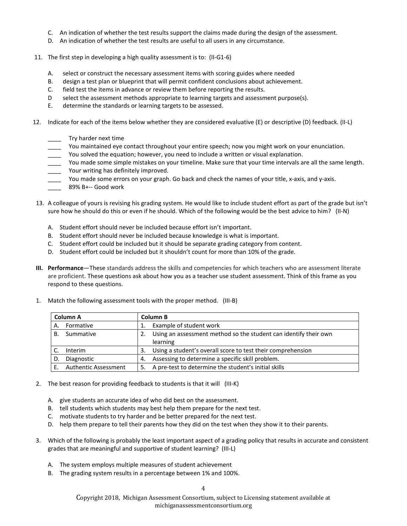- C. An indication of whether the test results support the claims made during the design of the assessment.
- D. An indication of whether the test results are useful to all users in any circumstance.
- 11. The first step in developing a high quality assessment is to: (II-G1-6)
	- A. select or construct the necessary assessment items with scoring guides where needed
	- B. design a test plan or blueprint that will permit confident conclusions about achievement.
	- C. field test the items in advance or review them before reporting the results.
	- D select the assessment methods appropriate to learning targets and assessment purpose(s).
	- E. determine the standards or learning targets to be assessed.
- 12. Indicate for each of the items below whether they are considered evaluative (E) or descriptive (D) feedback. (II-L)
	- Try harder next time
	- You maintained eye contact throughout your entire speech; now you might work on your enunciation.
	- You solved the equation; however, you need to include a written or visual explanation.
	- You made some simple mistakes on your timeline. Make sure that your time intervals are all the same length. Your writing has definitely improved.
	- You made some errors on your graph. Go back and check the names of your title, x-axis, and y-axis.
	- 89% B+-- Good work
- 13. A colleague of yours is revising his grading system. He would like to include student effort as part of the grade but isn't sure how he should do this or even if he should. Which of the following would be the best advice to him? (II-N)
	- A. Student effort should never be included because effort isn't important.
	- B. Student effort should never be included because knowledge is what is important.
	- C. Student effort could be included but it should be separate grading category from content.
	- D. Student effort could be included but it shouldn't count for more than 10% of the grade.
- **III. Performance**—These standards address the skills and competencies for which teachers who are assessment literate are proficient. These questions ask about how you as a teacher use student assessment. Think of this frame as you respond to these questions.
- 1. Match the following assessment tools with the proper method. (III-B)

| Column A |                             | Column B |                                                                  |
|----------|-----------------------------|----------|------------------------------------------------------------------|
| Α.       | Formative                   |          | Example of student work                                          |
| В.       | Summative                   |          | Using an assessment method so the student can identify their own |
|          |                             |          | learning                                                         |
|          | Interim                     | 3.       | Using a student's overall score to test their comprehension      |
| D.       | Diagnostic                  | 4.       | Assessing to determine a specific skill problem.                 |
| F.       | <b>Authentic Assessment</b> | 5.       | A pre-test to determine the student's initial skills             |

- 2. The best reason for providing feedback to students is that it will (III-K)
	- A. give students an accurate idea of who did best on the assessment.
	- B. tell students which students may best help them prepare for the next test.
	- C. motivate students to try harder and be better prepared for the next test.
	- D. help them prepare to tell their parents how they did on the test when they show it to their parents.
- 3. Which of the following is probably the least important aspect of a grading policy that results in accurate and consistent grades that are meaningful and supportive of student learning? (III-L)
	- A. The system employs multiple measures of student achievement
	- B. The grading system results in a percentage between 1% and 100%.

Copyright 2018, Michigan Assessment Consortium, subject to Licensing statement available at michiganassessmentconsortium.org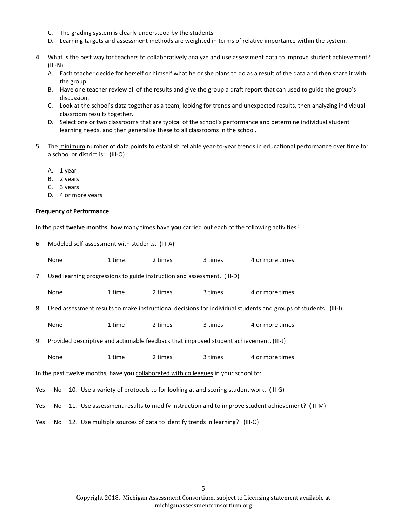- C. The grading system is clearly understood by the students
- D. Learning targets and assessment methods are weighted in terms of relative importance within the system.
- 4. What is the best way for teachers to collaboratively analyze and use assessment data to improve student achievement? (III-N)
	- A. Each teacher decide for herself or himself what he or she plans to do as a result of the data and then share it with the group.
	- B. Have one teacher review all of the results and give the group a draft report that can used to guide the group's discussion.
	- C. Look at the school's data together as a team, looking for trends and unexpected results, then analyzing individual classroom results together.
	- D. Select one or two classrooms that are typical of the school's performance and determine individual student learning needs, and then generalize these to all classrooms in the school.
- 5. The minimum number of data points to establish reliable year-to-year trends in educational performance over time for a school or district is: (III-O)
	- A. 1 year
	- B. 2 years
	- C. 3 years
	- D. 4 or more years

#### **Frequency of Performance**

In the past **twelve months**, how many times have **you** carried out each of the following activities?

|                                                                                     | 6. Modeled self-assessment with students. (III-A)                                                               |  |        |         |         |                 |  |  |  |
|-------------------------------------------------------------------------------------|-----------------------------------------------------------------------------------------------------------------|--|--------|---------|---------|-----------------|--|--|--|
|                                                                                     | None                                                                                                            |  | 1 time | 2 times | 3 times | 4 or more times |  |  |  |
| 7.                                                                                  | Used learning progressions to guide instruction and assessment. (III-D)                                         |  |        |         |         |                 |  |  |  |
|                                                                                     | None                                                                                                            |  | 1 time | 2 times | 3 times | 4 or more times |  |  |  |
| 8.                                                                                  | Used assessment results to make instructional decisions for individual students and groups of students. (III-I) |  |        |         |         |                 |  |  |  |
|                                                                                     | None                                                                                                            |  | 1 time | 2 times | 3 times | 4 or more times |  |  |  |
| 9.                                                                                  | Provided descriptive and actionable feedback that improved student achievement. (III-J)                         |  |        |         |         |                 |  |  |  |
|                                                                                     | None                                                                                                            |  | 1 time | 2 times | 3 times | 4 or more times |  |  |  |
| In the past twelve months, have you collaborated with colleagues in your school to: |                                                                                                                 |  |        |         |         |                 |  |  |  |
| Yes                                                                                 | 10. Use a variety of protocols to for looking at and scoring student work. (III-G)<br>No.                       |  |        |         |         |                 |  |  |  |
| Yes                                                                                 | 11. Use assessment results to modify instruction and to improve student achievement? (III-M)<br>No              |  |        |         |         |                 |  |  |  |
| Yes                                                                                 | 12. Use multiple sources of data to identify trends in learning? (III-O)<br>No                                  |  |        |         |         |                 |  |  |  |